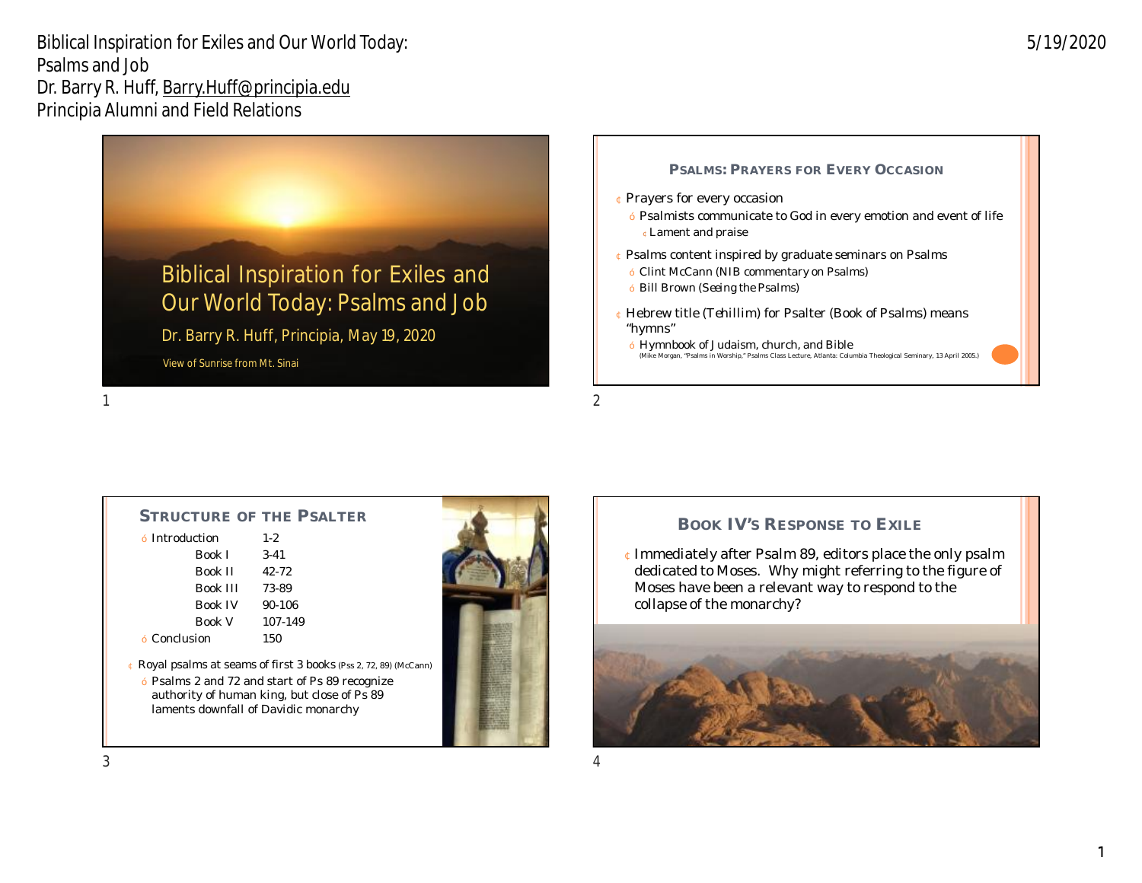

¢Lament and praise ¢ Psalms content inspired by graduate seminars on Psalms — Clint McCann (*NIB* commentary on Psalms) — Bill Brown (*Seeing the Psalms*)

¢ Prayers for every occasion

- ¢ Hebrew title (*Tehillim*) for Psalter (Book of Psalms) means "hymns"
- Hymnbook of Judaism, church, and Bible (Mike Morgan, "Psalms in Worship," Psalms Class Lecture, Atlanta: Columbia Theological Seminary, 13 April 2005.)

**PSALMS: PRAYERS FOR EVERY OCCASION**

— Psalmists communicate to God in every emotion and event of life

 $1$ 

### **STRUCTURE OF THE PSALTER**

| – Introduction  | $1-2$    |  |  |
|-----------------|----------|--|--|
| <b>Book I</b>   | $3-41$   |  |  |
| <b>Book II</b>  | 42-72    |  |  |
| <b>Book III</b> | 73-89    |  |  |
| <b>Book IV</b>  | $90-106$ |  |  |
| <b>Book V</b>   | 107-149  |  |  |
| – Conclusion    | 150      |  |  |
|                 |          |  |  |

¢ Royal psalms at seams of first 3 books (Pss 2, 72, 89) (McCann)

— Psalms 2 and 72 and start of Ps 89 recognize authority of human king, but close of Ps 89 laments downfall of Davidic monarchy



### **BOOK IV'S RESPONSE TO EXILE**

¢Immediately after Psalm 89, editors place the only psalm dedicated to Moses. Why might referring to the figure of Moses have been a relevant way to respond to the collapse of the monarchy?

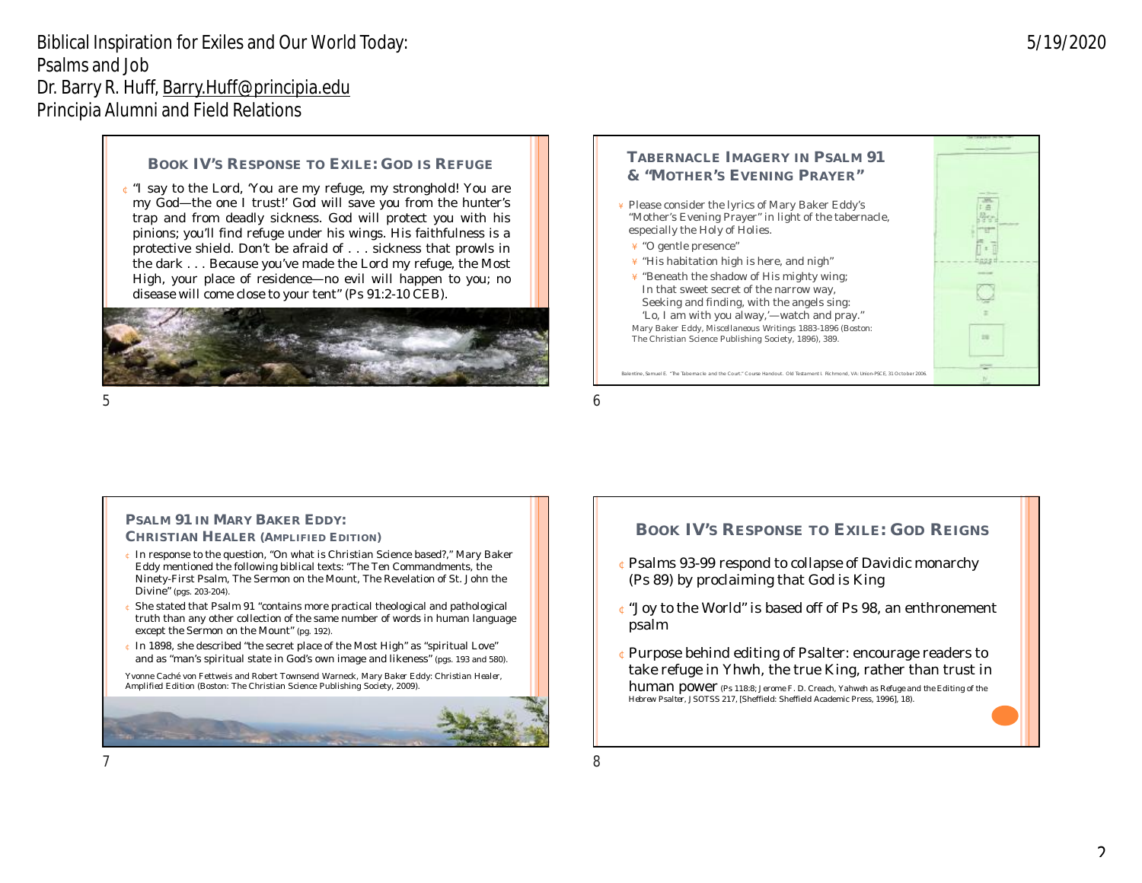#### **BOOK IV'S RESPONSE TO EXILE: GOD IS REFUGE**

¢ "I say to the Lord, 'You are my refuge, my stronghold! You are my God—the one I trust!' God will save you from the hunter's trap and from deadly sickness. God will protect you with his pinions; you'll find refuge under his wings. His faithfulness is a protective shield. Don't be afraid of... sickness that prowls in the dark... Because you've made the Lord my refuge, the Most High, your place of residence—no evil will happen to you; no disease will come close to your tent" (Ps 91:2-10 CEB).



#### **TABERNACLE IMAGERY IN PSALM 91 & "MOTHER'S EVENING PRAYER"**

Please consider the lyrics of Mary Baker Eddy's "Mother's Evening Prayer" in light of the tabernacle, especially the Holy of Holies.

- ´ "O gentle presence"
- ´ "His habitation high is here, and nigh"
- "Beneath the shadow of His mighty wing; In that sweet secret of the narrow way, Seeking and finding, with the angels sing:

'Lo, I am with you alway,'—watch and pray." Mary Baker Eddy, *Miscellaneous Writings 1883-1896 (*Boston: The Christian Science Publishing Society, 1896), 389.

e, Samuel E. "The Tabernacle and the Court." Course Handout. Old Testament I. Richmond, VA: Union-PSCE, 31 October 200

 $5\,$ 

#### **PSALM 91 IN** *MARY BAKER EDDY: CHRISTIAN HEALER* **(AMPLIFIED EDITION)**

- ¢ In response to the question, "On what is Christian Science based?," Mary Baker Eddy mentioned the following biblical texts: "The Ten Commandments, the Ninety-First Psalm, The Sermon on the Mount, The Revelation of St. John the Divine" (pgs. 203-204).
- She stated that Psalm 91 "contains more practical theological and pathological truth than any other collection of the same number of words in human language except the Sermon on the Mount" (pg. 192).
- ¢ In 1898, she described "the secret place of the Most High" as "spiritual Love" and as "man's spiritual state in God's own image and likeness" (pgs. 193 and 580).

Yvonne Caché von Fettweis and Robert Townsend Warneck, *Mary Baker Eddy: Christian Healer, Amplified Edition* (Boston: The Christian Science Publishing Society, 2009).



### **BOOK IV'S RESPONSE TO EXILE: GOD REIGNS**

- ¢Psalms 93-99 respond to collapse of Davidic monarchy (Ps 89) by proclaiming that God is King
- ¢"Joy to the World" is based off of Ps 98, an enthronement psalm
- ¢Purpose behind editing of Psalter: encourage readers to take refuge in Yhwh, the true King, rather than trust in

human power (Ps 118:8; Jerome F. D. Creach, *Yahweh as Refuge and the Editing of the Hebrew Psalter,* JSOTSS 217, [Sheffield: Sheffield Academic Press, 1996], 18).

 $7$ 

5/19/2020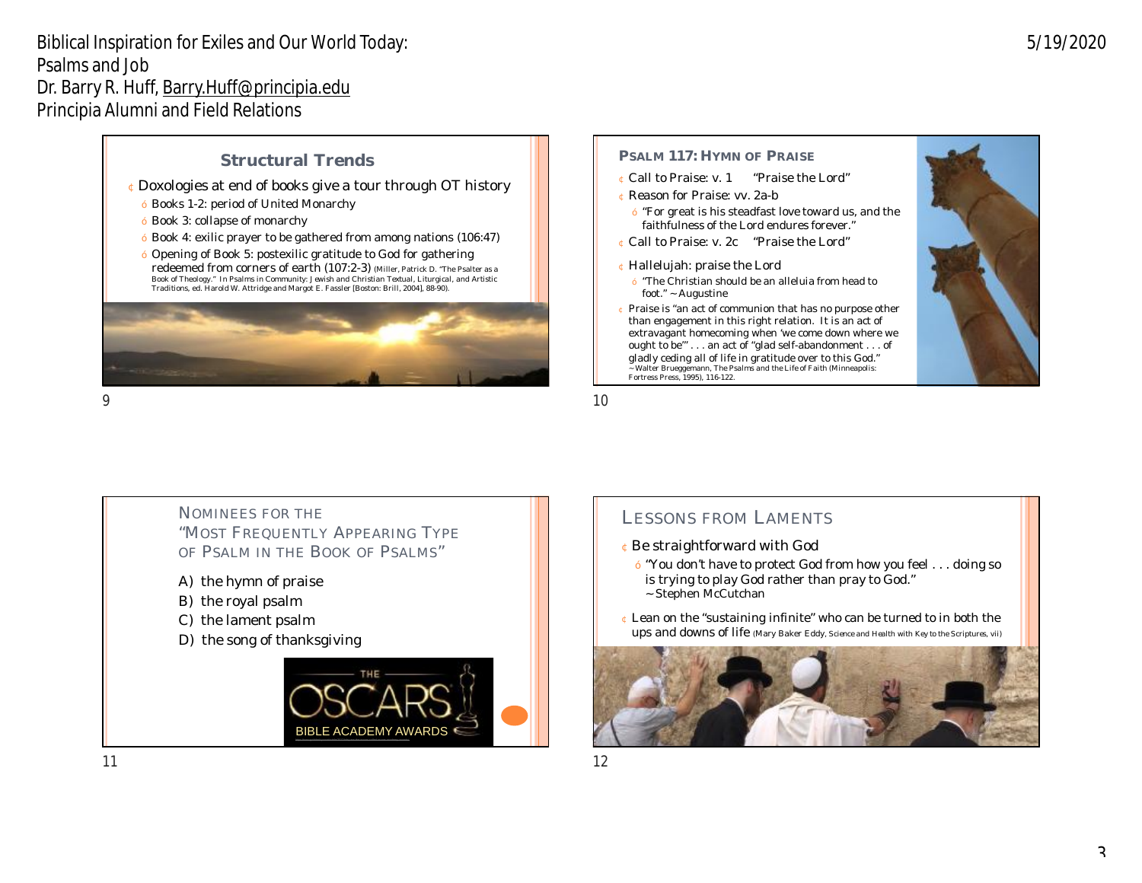### **Structural Trends**

#### ¢Doxologies at end of books give a tour through OT history

- Books 1-2: period of United Monarchy
- Book 3: collapse of monarchy
- Book 4: exilic prayer to be gathered from among nations (106:47)
- Opening of Book 5: postexilic gratitude to God for gathering redeemed from corners of earth (107:2-3) (Miller, Patrick D. "The Psalter as a Book of Theology." In *Psalms in Community: Jewish and Christian Textual, Liturgical, and Artistic*<br>*Traditions*, ed. Harold W. Attridge and Margot E. Fassler [Boston: Brill, 2004], 88-90).



#### **PSALM 117: HYMN OF PRAISE**

- ¢ Call to Praise: v. 1 "Praise the Lord"
- ¢ Reason for Praise: vv. 2a-b
	- "For great is his steadfast love toward us, and the faithfulness of the Lord endures forever."
- ¢ Call to Praise: v. 2c "Praise the Lord"
- ¢ Hallelujah: praise the Lord
	- "The Christian should be an alleluia from head to foot." ~ Augustine
- ¢ Praise is "an act of communion that has no purpose other than engagement in this right relation. It is an act of extravagant homecoming when 'we come down where we ought to be'" . . . an act of "glad self-abandonment . . . of gladly ceding all of life in gratitude over to this God." ~ Walter Brueggemann, *The Psalms and the Life of Faith* (Minneapolis: Fortress Press, 1995), 116-122.



 $9$  10

NOMINEES FOR THE "MOST FREQUENTLY APPEARING TYPE OF PSALM IN THE BOOK OF PSALMS" A) the hymn of praise B) the royal psalm C) the lament psalm D) the song of thanksgiving



# LESSONS FROM LAMENTS

- ¢Be straightforward with God
	- "You don't have to protect God from how you feel . . . doing so is trying to *play* God rather than *pray* to God."
	- ~ Stephen McCutchan
- ¢ Lean on the "sustaining infinite" who can be turned to in both the ups and downs of life (Mary Baker Eddy, *Science and Health with Key to the Scriptures*, vii)

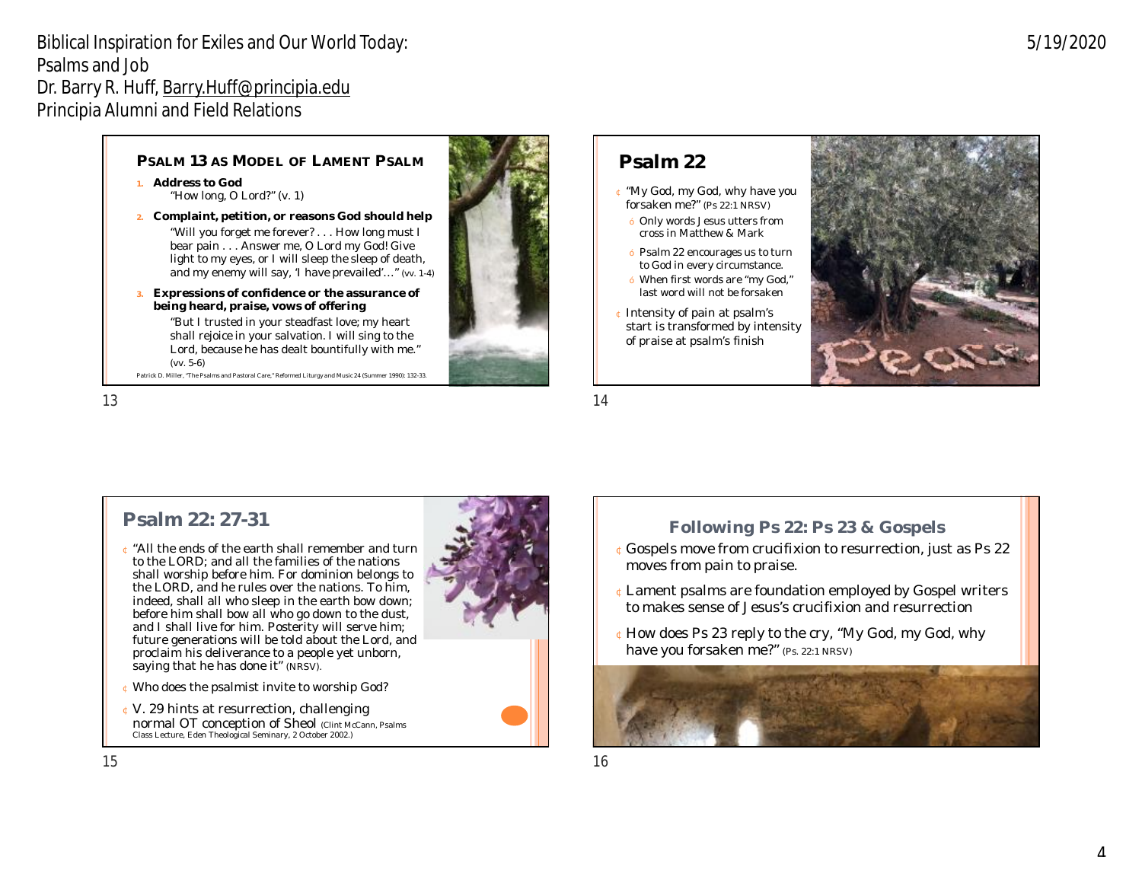### **PSALM 13 AS MODEL OF LAMENT PSALM**

- **1. Address to God** "How long, O Lord?" (v. 1)
- **2. Complaint, petition, or reasons God should help** "Will you forget me forever? . . . How long must I bear pain . . . Answer me, O Lord my God! Give light to my eyes, or I will sleep the sleep of death, and my enemy will say, 'I have prevailed'…" (vv. 1-4)
- **3. Expressions of confidence or the assurance of being heard, praise, vows of offering** "But I trusted in your steadfast love; my heart

shall rejoice in your salvation. I will sing to the Lord, because he has dealt bountifully with me." (vv. 5-6) Patrick D. Miller, "The Psalms and Pastoral Care," *Reformed Liturgy and Music* 24 (Summer 1990): 132-33.

 $13$  and  $14$ 



# **Psalm 22**

- ¢ "My God, my God, why have you forsaken me?" (Ps 22:1 NRSV)
	- Only words Jesus utters from cross in Matthew & Mark
	- Psalm 22 encourages us to turn to God in every circumstance.
	- When first words are "my God," last word will not be forsaken
- ¢ Intensity of pain at psalm's start is transformed by intensity of praise at psalm's finish



5/19/2020

## **Psalm 22: 27-31**

- ¢ "All the ends of the earth shall remember and turn to the LORD; and all the families of the nations shall worship before him. For dominion belongs to the LORD, and he rules over the nations. To him, indeed, shall all who sleep in the earth bow down; before him shall bow all who go down to the dust, and I shall live for him. Posterity will serve him; future generations will be told about the Lord, and proclaim his deliverance to a people yet unborn, saying that he has done it" (NRSV).
- ¢ Who does the psalmist invite to worship God?
- ¢ V. 29 hints at resurrection, challenging normal OT conception of Sheol (Clint McCann, Psalms Class Lecture, Eden Theological Seminary, 2 October 2002.)



## **Following Ps 22: Ps 23 & Gospels**

- ¢Gospels move from crucifixion to resurrection, just as Ps 22 moves from pain to praise.
- ¢Lament psalms are foundation employed by Gospel writers to makes sense of Jesus's crucifixion and resurrection
- ¢How does Ps 23 reply to the cry, "My God, my God, why have you forsaken me?" (Ps. 22:1 NRSV)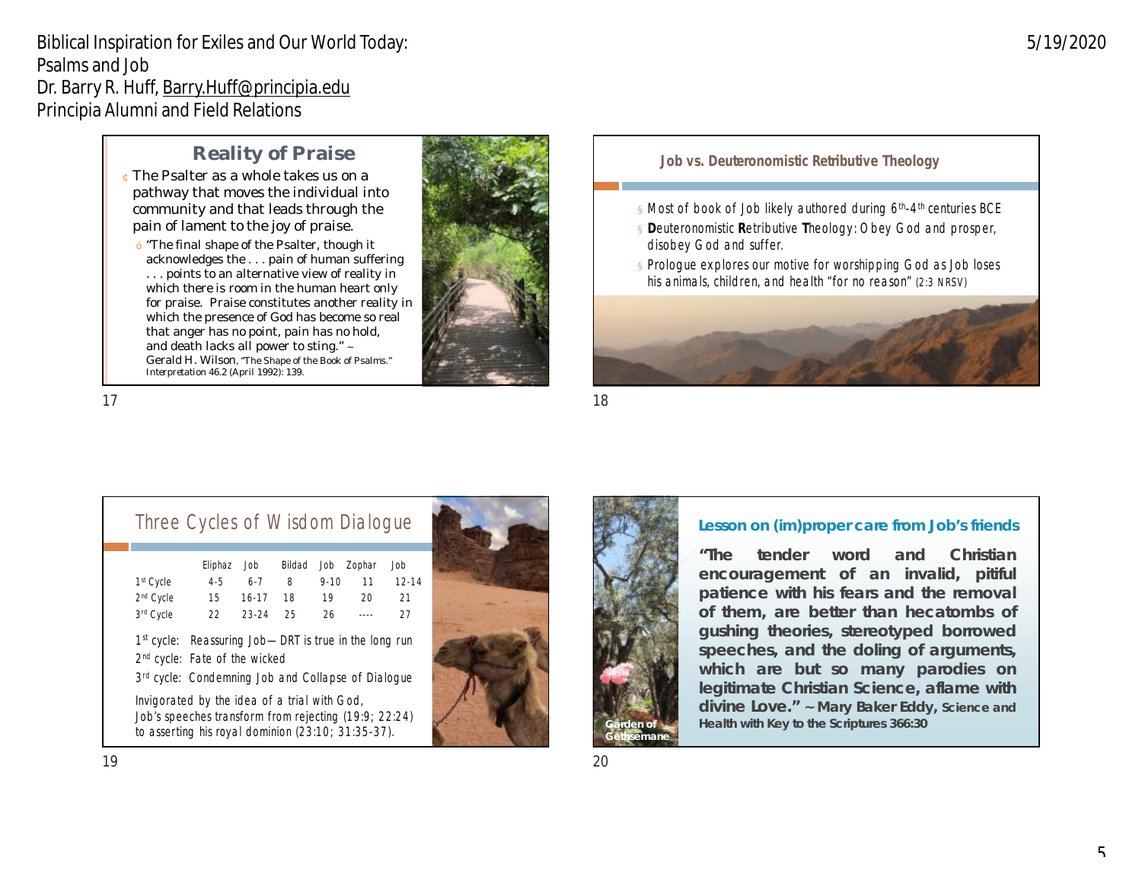# **Reality of Praise**

- ¢The Psalter as a whole takes us on a pathway that moves the individual into community and that leads through the pain of lament to the joy of praise.
	- "The final shape of the Psalter, though it acknowledges the . . . pain of human suffering . . . points to an alternative view of reality in which there is room in the human heart only for praise. Praise constitutes another reality in which the presence of God has become so real that anger has no point, pain has no hold, and death lacks all power to sting." ~ Gerald H. Wilson, "The Shape of the Book of Psalms." *Interpretation* 46.2 (April 1992): 139.



#### **Job vs. Deuteronomistic Retributive Theology**

- $\approx$  Most of book of Job likely authored during 6<sup>th</sup>-4<sup>th</sup> centuries BCE
- ¤**D**euteronomistic **R**etributive **T**heology: Obey God and prosper, disobey God and suffer.
- **¤** Prologue explores our motive for worshipping God as Job loses his animals, children, and health "for no reason" (2:3 NRSV)



 $17$  and  $18$ 

# Three Cycles of Wisdom Dialogue

|                                                                                                                                                                | Eliphaz | Job       | Bildad | Job      | Zophar  | Job       |
|----------------------------------------------------------------------------------------------------------------------------------------------------------------|---------|-----------|--------|----------|---------|-----------|
| $1st$ Cycle                                                                                                                                                    | $4 - 5$ | $6 - 7$   | 8      | $9 - 10$ | 11      | $12 - 14$ |
| 2 <sup>nd</sup> Cycle                                                                                                                                          | 15      | $16 - 17$ | 18     | 19       | 20      | 21        |
| 3rd Cycle                                                                                                                                                      | 22      | 23-24     | 25     | 26       | $- - -$ | 27        |
| $1st$ cycle: Reassuring Job—DRT is true in the long run<br>$2^{nd}$ cycle: Fate of the wicked<br>3rd cycle: Condemning Job and Collapse of Dialogue            |         |           |        |          |         |           |
| Invigorated by the idea of a trial with God,<br>Job's speeches transform from rejecting (19:9; 22:24)<br>to asserting his roval dominion $(23:10; 31:35-37)$ . |         |           |        |          |         |           |





### **Lesson on (im)proper care from Job's friends**

**"The tender word and Christian encouragement of an invalid, pitiful patience with his fears and the removal of them, are better than hecatombs of gushing theories, stereotyped borrowed speeches, and the doling of arguments, which are but so many parodies on legitimate Christian Science, aflame with divine Love." ~ Mary Baker Eddy,** *Science and Garden of Health with Key to the Scriptures* **366:30**